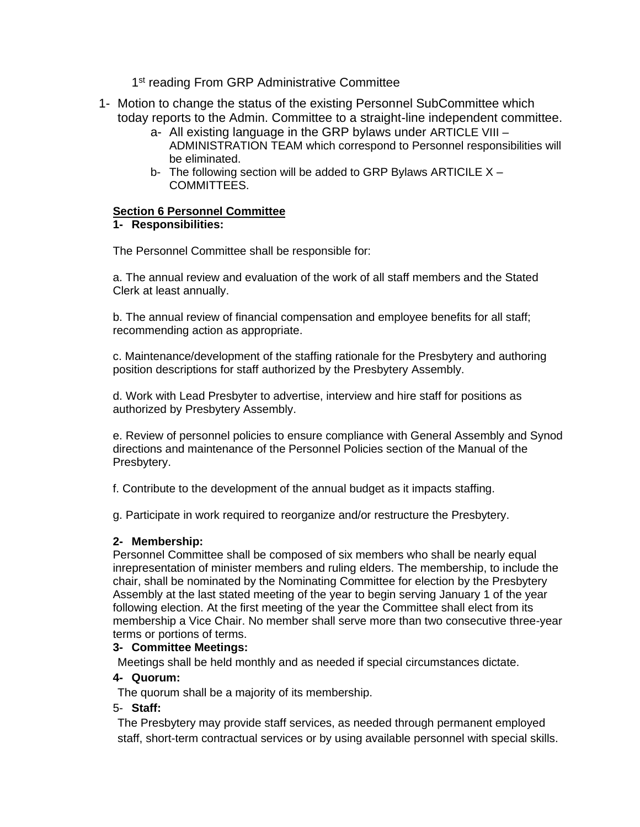1<sup>st</sup> reading From GRP Administrative Committee

- 1- Motion to change the status of the existing Personnel SubCommittee which today reports to the Admin. Committee to a straight-line independent committee.
	- a- All existing language in the GRP bylaws under ARTICLE VIII ADMINISTRATION TEAM which correspond to Personnel responsibilities will be eliminated.
	- b- The following section will be added to GRP Bylaws ARTICILE X COMMITTEES.

# **Section 6 Personnel Committee**

# **1- Responsibilities:**

The Personnel Committee shall be responsible for:

a. The annual review and evaluation of the work of all staff members and the Stated Clerk at least annually.

b. The annual review of financial compensation and employee benefits for all staff; recommending action as appropriate.

c. Maintenance/development of the staffing rationale for the Presbytery and authoring position descriptions for staff authorized by the Presbytery Assembly.

d. Work with Lead Presbyter to advertise, interview and hire staff for positions as authorized by Presbytery Assembly.

e. Review of personnel policies to ensure compliance with General Assembly and Synod directions and maintenance of the Personnel Policies section of the Manual of the Presbytery.

f. Contribute to the development of the annual budget as it impacts staffing.

g. Participate in work required to reorganize and/or restructure the Presbytery.

### **2- Membership:**

Personnel Committee shall be composed of six members who shall be nearly equal inrepresentation of minister members and ruling elders. The membership, to include the chair, shall be nominated by the Nominating Committee for election by the Presbytery Assembly at the last stated meeting of the year to begin serving January 1 of the year following election. At the first meeting of the year the Committee shall elect from its membership a Vice Chair. No member shall serve more than two consecutive three-year terms or portions of terms.

### **3- Committee Meetings:**

Meetings shall be held monthly and as needed if special circumstances dictate.

### **4- Quorum:**

The quorum shall be a majority of its membership.

### 5- **Staff:**

The Presbytery may provide staff services, as needed through permanent employed staff, short-term contractual services or by using available personnel with special skills.